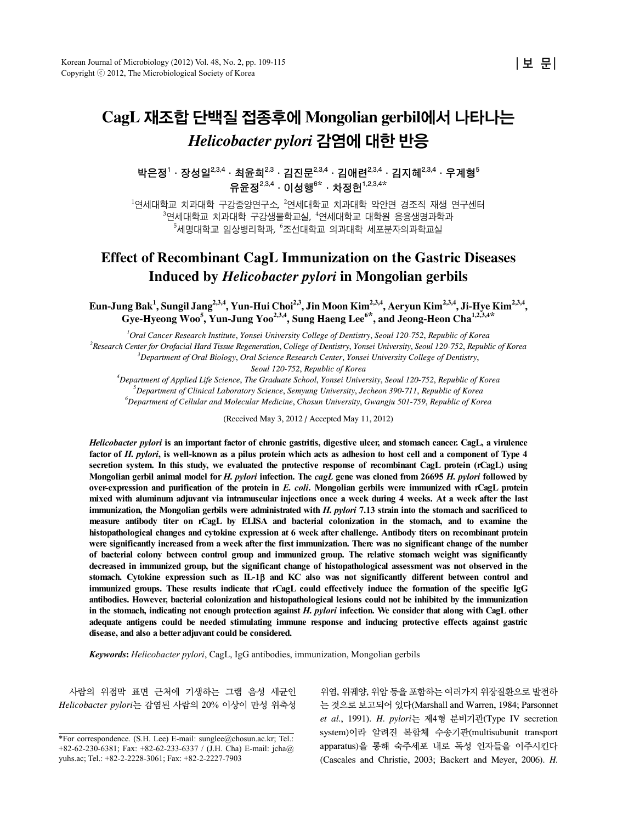# **CagL** 재조합 단백질 접종후에 **Mongolian gerbil**에서 나타나는 *Helicobacter pylori* 감염에 대한 반응

박은정<sup>1</sup> · 장성일<sup>2,3,4</sup> · 최윤희<sup>2,3</sup> · 김진문<sup>2,3,4</sup> · 김애련<sup>2,3,4</sup> · 김지혜<sup>2,3,4</sup> · 우계형<sup>5</sup> 유윤정2,3,4․이성행<sup>6</sup>**\***․차정헌1,2,3,4**\***

 $^{\rm 1}$ 연세대학교 치과대학 각강종양연구소,  $^{\rm 2}$ 연세대학교 치과대학 악안면 경조직 재생 연구센터  $^3$ 연세대학교 치과대학 구강생물학교실,  $^4$ 연세대학교 대학원 응용생명과학과  $^5$ 세명대학교 임상병리학과,  $^6$ 조선대학교 의과대학 세포분자의과학교실

# **Effect of Recombinant CagL Immunization on the Gastric Diseases Induced by** *Helicobacter pylori* **in Mongolian gerbils**

**Eun-Jung Bak<sup>1</sup> , Sungil Jang2,3,4, Yun-Hui Choi2,3, Jin Moon Kim2,3,4, Aeryun Kim2,3,4, Ji-Hye Kim2,3,4, Gye-Hyeong Woo5 , Yun-Jung Yoo2,3,4, Sung Haeng Lee6\*, and Jeong-Heon Cha1,2,3,4\***

*1 Oral Cancer Research Institute*, *Yonsei University College of Dentistry*, *Seoul 120-752*, *Republic of Korea 2 Research Center for Orofacial Hard Tissue Regeneration*, *College of Dentistry*, *Yonsei University*, *Seoul 120-752*, *Republic of Korea 3 Department of Oral Biology*, *Oral Science Research Center*, *Yonsei University College of Dentistry*,

*Seoul 120-752*, *Republic of Korea*

*4 Department of Applied Life Science*, *The Graduate School*, *Yonsei University*, *Seoul 120-752*, *Republic of Korea 5 Department of Clinical Laboratory Science*, *Semyung University*, *Jecheon 390-711*, *Republic of Korea 6 Department of Cellular and Molecular Medicine*, *Chosun University*, *Gwangju 501-759*, *Republic of Korea*

(Received May 3, 2012 / Accepted May 11, 2012)

*Helicobacter pylori* **is an important factor of chronic gastritis, digestive ulcer, and stomach cancer. CagL, a virulence factor of** *H***.** *pylori***, is well-known as a pilus protein which acts as adhesion to host cell and a component of Type 4 secretion system. In this study, we evaluated the protective response of recombinant CagL protein (rCagL) using Mongolian gerbil animal model for** *H***.** *pylori* **infection. The** *cagL* **gene was cloned from 26695** *H***.** *pylori* **followed by over-expression and purification of the protein in** *E***.** *coli***. Mongolian gerbils were immunized with rCagL protein mixed with aluminum adjuvant via intramuscular injections once a week during 4 weeks. At a week after the last immunization, the Mongolian gerbils were administrated with** *H***.** *pylori* **7.13 strain into the stomach and sacrificed to measure antibody titer on rCagL by ELISA and bacterial colonization in the stomach, and to examine the histopathological changes and cytokine expression at 6 week after challenge. Antibody titers on recombinant protein were significantly increased from a week after the first immunization. There was no significant change of the number of bacterial colony between control group and immunized group. The relative stomach weight was significantly decreased in immunized group, but the significant change of histopathological assessment was not observed in the stomach. Cytokine expression such as IL-1**β **and KC also was not significantly different between control and immunized groups. These results indicate that rCagL could effectively induce the formation of the specific IgG antibodies. However, bacterial colonization and histopathological lesions could not be inhibited by the immunization in the stomach, indicating not enough protection against** *H***.** *pylori* **infection. We consider that along with CagL other adequate antigens could be needed stimulating immune response and inducing protective effects against gastric disease, and also a better adjuvant could be considered.**

*Keywords***:** *Helicobacter pylori*, CagL, IgG antibodies, immunization, Mongolian gerbils

사람의 위점막 표면 근처에 기생하는 그램 음성 세균인 *Helicobacter pylori*는 감염된 사람의 20% 이상이 만성 위축성

위염, 위궤양, 위암 등을 포함하는 여러가지 위장질환으로 발전하 는 것으로 보고되어 있다(Marshall and Warren, 1984; Parsonnet *et al*., 1991). *H*. *pylori*는 제4형 분비기관(Type IV secretion system)이라 알려진 복합체 수송기관(multisubunit transport apparatus)을 통해 숙주세포 내로 독성 인자들을 이주시킨다 (Cascales and Christie, 2003; Backert and Meyer, 2006). *H*.

<sup>\*</sup>For correspondence.  $(S, H, L$ ee) E-mail: sunglee@chosun.ac.kr; Tel.: +82-62-230-6381; Fax: +82-62-233-6337 / (J.H. Cha) E-mail: jcha@ yuhs.ac; Tel.: +82-2-2228-3061; Fax: +82-2-2227-7903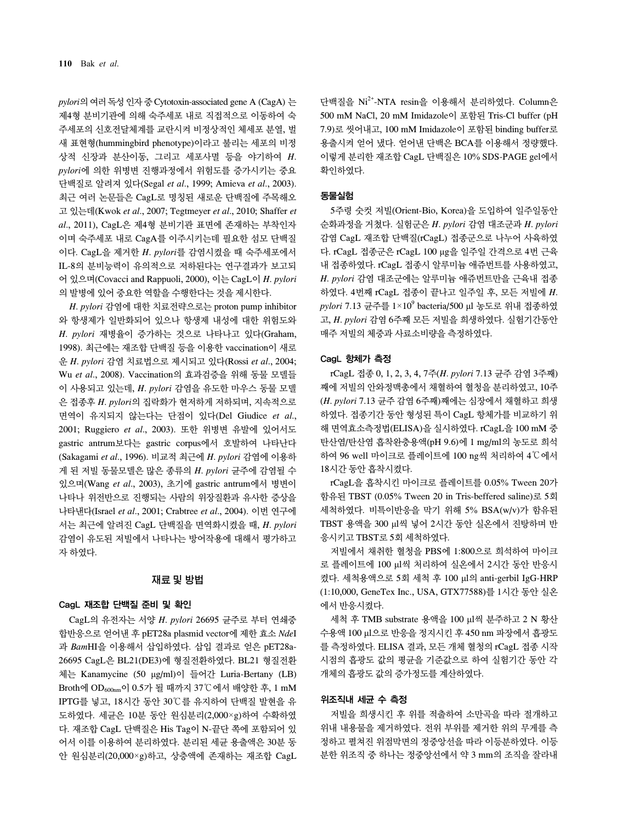*pylori*의 여러 독성 인자 중 Cytotoxin-associated gene A (CagA) 는 제4형 분비기관에 의해 숙주세포 내로 직접적으로 이동하여 숙 주세포의 신호전달체계를 교란시켜 비정상적인 체세포 분열, 벌 새 표현형(hummingbird phenotype)이라고 불리는 세포의 비정 상적 신장과 분산이동, 그리고 세포사멸 등을 야기하여 *H*. *pylori*에 의한 위병변 진행과정에서 위험도를 증가시키는 중요 단백질로 알려져 있다(Segal *et al*., 1999; Amieva *et al*., 2003). 최근 여러 논문들은 CagL로 명칭된 새로운 단백질에 주목해오 고 있는데(Kwok *et al*., 2007; Tegtmeyer *et al*., 2010; Shaffer *et al*., 2011), CagL은 제4형 분비기관 표면에 존재하는 부착인자 이며 숙주세포 내로 CagA를 이주시키는데 필요한 섬모 단백질 이다. CagL을 제거한 *H*. *pylori*를 감염시켰을 때 숙주세포에서 IL-8의 분비능력이 유의적으로 저하된다는 연구결과가 보고되 어 있으며(Covacci and Rappuoli, 2000), 이는 CagL이 *H*. *pylori* 의 발병에 있어 중요한 역할을 수행한다는 것을 제시한다.

*H*. *pylori* 감염에 대한 치료전략으로는 proton pump inhibitor 와 항생제가 일반화되어 있으나 항생제 내성에 대한 위험도와 *H*. *pylori* 재병율이 증가하는 것으로 나타나고 있다(Graham, 1998). 최근에는 재조합 단백질 등을 이용한 vaccination이 새로 운 *H*. *pylori* 감염 치료법으로 제시되고 있다(Rossi *et al*., 2004; Wu *et al*., 2008). Vaccination의 효과검증을 위해 동물 모델들 이 사용되고 있는데, *H*. *pylori* 감염을 유도한 마우스 동물 모델 은 접종후 *H*. *pylori*의 집락화가 현저하게 저하되며, 지속적으로 면역이 유지되지 않는다는 단점이 있다(Del Giudice *et al*., 2001; Ruggiero *et al*., 2003). 또한 위병변 유발에 있어서도 gastric antrum보다는 gastric corpus에서 호발하여 나타난다 (Sakagami *et al*., 1996). 비교적 최근에 *H*. *pylori* 감염에 이용하 게 된 저빌 동물모델은 많은 종류의 *H*. *pylori* 균주에 감염될 수 있으며(Wang *et al*., 2003), 초기에 gastric antrum에서 병변이 나타나 위전반으로 진행되는 사람의 위장질환과 유사한 증상을 나타낸다(Israel *et al*., 2001; Crabtree *et al*., 2004). 이번 연구에 서는 최근에 알려진 CagL 단백질을 면역화시켰을 때, *H*. *pylori*  감염이 유도된 저빌에서 나타나는 방어작용에 대해서 평가하고 자 하였다.

#### 재료 및 방법

#### CagL 재조합 단백질 준비 및 확인

CagL의 유전자는 서양 *H*. *pylori* 26695 균주로 부터 연쇄중 합반응으로 얻어낸 후 pET28a plasmid vector에 제한 효소 *Nde*I 과 *Bam*HI을 이용해서 삽입하였다. 삽입 결과로 얻은 pET28a-26695 CagL은 BL21(DE3)에 형질전환하였다. BL21 형질전환 체는 Kanamycine (50 μg/ml)이 들어간 Luria-Bertany (LB) Broth에 OD600nm이 0.5가 될 때까지 37℃에서 배양한 후, 1 mM IPTG를 넣고, 18시간 동안 30℃를 유지하여 단백질 발현을 유 도하였다. 세균은 10분 동안 원심분리(2,000×g)하여 수확하였 다. 재조합 CagL 단백질은 His Tag이 N-끝단 쪽에 포함되어 있 어서 이를 이용하여 분리하였다. 분리된 세균 용출액은 30분 동 안 원심분리(20,000×g)하고, 상층액에 존재하는 재조합 CagL

단백질을 Ni2+-NTA resin을 이용해서 분리하였다. Column은 500 mM NaCl, 20 mM Imidazole이 포함된 Tris-Cl buffer (pH 7.9)로 씻어내고, 100 mM Imidazole이 포함된 binding buffer로 용출시켜 얻어 냈다. 얻어낸 단백은 BCA를 이용해서 정량했다. 이렇게 분리한 재조합 CagL 단백질은 10% SDS-PAGE gel에서 확인하였다.

#### 동물실험

5주령 숫컷 저빌(Orient-Bio, Korea)을 도입하여 일주일동안 순화과정을 거쳤다. 실험군은 *H*. *pylori* 감염 대조군과 *H*. *pylori* 감염 CagL 재조합 단백질(rCagL) 접종군으로 나누어 사육하였 다. rCagL 접종군은 rCagL 100 μg을 일주일 간격으로 4번 근육 내 접종하였다. rCagL 접종시 알루미늄 애쥬번트를 사용하였고, *H*. *pylori* 감염 대조군에는 알루미늄 애쥬번트만을 근육내 접종 하였다. 4번째 rCagL 접종이 끝나고 일주일 후, 모든 저빌에 *H*. *pylori* 7.13 균주를 1×109 bacteria/500 μl 농도로 위내 접종하였 고, *H*. *pylori* 감염 6주째 모든 저빌을 희생하였다. 실험기간동안 매주 저빌의 체중과 사료소비량을 측정하였다.

#### CagL 항체가 측정

rCagL 접종 0, 1, 2, 3, 4, 7주(*H*. *pylori* 7.13 균주 감염 3주째) 째에 저빌의 안와정맥총에서 채혈하여 혈청을 분리하였고, 10주 (*H*. *pylori* 7.13 균주 감염 6주째)째에는 심장에서 채혈하고 희생 하였다. 접종기간 동안 형성된 특이 CagL 항체가를 비교하기 위 해 면역효소측정법(ELISA)을 실시하였다. rCagL을 100 mM 중 탄산염/탄산염 흡착완충용액(pH 9.6)에 1 mg/ml의 농도로 희석 하여 96 well 마이크로 플레이트에 100 ng씩 처리하여 4℃에서 18시간 동안 흡착시켰다.

rCagL을 흡착시킨 마이크로 플레이트를 0.05% Tween 20가 함유된 TBST (0.05% Tween 20 in Tris-beffered saline)로 5회 세척하였다. 비특이반응을 막기 위해 5% BSA(w/v)가 함유된 TBST 용액을 300 μl씩 넣어 2시간 동안 실온에서 진탕하며 반 응시키고 TBST로 5회 세척하였다.

저빌에서 채취한 혈청을 PBS에 1:800으로 희석하여 마이크 로 플레이트에 100 μl씩 처리하여 실온에서 2시간 동안 반응시 켰다. 세척용액으로 5회 세척 후 100 μl의 anti-gerbil IgG-HRP (1:10,000, GeneTex Inc., USA, GTX77588)를 1시간 동안 실온 에서 반응시켰다.

세척 후 TMB substrate 용액을 100 μl씩 분주하고 2 N 황산 수용액 100 μl으로 반응을 정지시킨 후 450 nm 파장에서 흡광도 를 측정하였다. ELISA 결과, 모든 개체 혈청의 rCagL 접종 시작 시점의 흡광도 값의 평균을 기준값으로 하여 실험기간 동안 각 개체의 흡광도 값의 증가정도를 계산하였다.

# 위조직내 세균 수 측정

저빌을 희생시킨 후 위를 적출하여 소만곡을 따라 절개하고 위내 내용물을 제거하였다. 전위 부위를 제거한 위의 무게를 측 정하고 펼쳐진 위점막면의 정중앙선을 따라 이등분하였다. 이등 분한 위조직 중 하나는 정중앙선에서 약 3 mm의 조직을 잘라내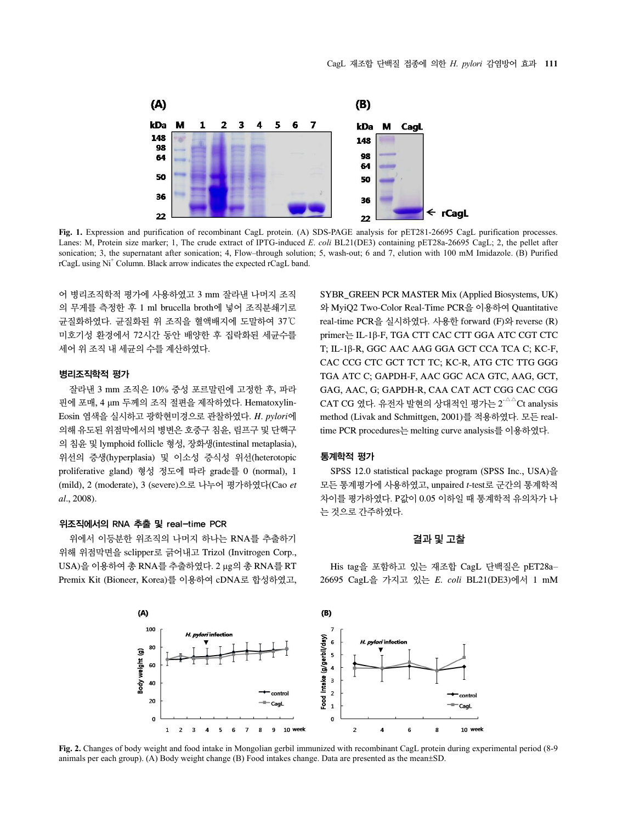

**Fig. 1.** Expression and purification of recombinant CagL protein. (A) SDS-PAGE analysis for pET281-26695 CagL purification processes. Lanes: M, Protein size marker; 1, The crude extract of IPTG-induced *E*. *coli* BL21(DE3) containing pET28a-26695 CagL; 2, the pellet after sonication; 3, the supernatant after sonication; 4, Flow–through solution; 5, wash-out; 6 and 7, elution with 100 mM Imidazole. (B) Purified rCagL using Ni<sup>+</sup> Column. Black arrow indicates the expected rCagL band.

어 병리조직학적 평가에 사용하였고 3 mm 잘라낸 나머지 조직 의 무게를 측정한 후 1 ml brucella broth에 넣어 조직분쇄기로 균질화하였다. 균질화된 위 조직을 혈액배지에 도말하여 37℃ 미호기성 환경에서 72시간 동안 배양한 후 집락화된 세균수를 세어 위 조직 내 세균의 수를 계산하였다.

#### 병리조직학적 평가

잘라낸 3 mm 조직은 10% 중성 포르말린에 고정한 후, 파라 핀에 포매, 4 μm 두께의 조직 절편을 제작하였다. Hematoxylin-Eosin 염색을 실시하고 광학현미경으로 관찰하였다. *H*. *pylori*에 의해 유도된 위점막에서의 병변은 호중구 침윤, 림프구 및 단핵구 의 침윤 및 lymphoid follicle 형성, 장화생(intestinal metaplasia), 위선의 증생(hyperplasia) 및 이소성 증식성 위선(heterotopic proliferative gland) 형성 정도에 따라 grade를 0 (normal), 1 (mild), 2 (moderate), 3 (severe)으로 나누어 평가하였다(Cao *et al*., 2008).

### 위조직에서의 RNA 추출 및 real-time PCR

위에서 이등분한 위조직의 나머지 하나는 RNA를 추출하기 위해 위점막면을 sclipper로 긁어내고 Trizol (Invitrogen Corp., USA)을 이용하여 총 RNA를 추출하였다. 2 μg의 총 RNA를 RT Premix Kit (Bioneer, Korea)를 이용하여 cDNA로 합성하였고, SYBR\_GREEN PCR MASTER Mix (Applied Biosystems, UK) 와 MyiQ2 Two-Color Real-Time PCR을 이용하여 Quantitative real-time PCR을 실시하였다. 사용한 forward (F)와 reverse (R) primer는 IL-1β-F, TGA CTT CAC CTT GGA ATC CGT CTC T; IL-1β-R, GGC AAC AAG GGA GCT CCA TCA C; KC-F, CAC CCG CTC GCT TCT TC; KC-R, ATG CTC TTG GGG TGA ATC C; GAPDH-F, AAC GGC ACA GTC, AAG, GCT, GAG, AAC, G; GAPDH-R, CAA CAT ACT CGG CAC CGG CAT CG 였다. 유전자 발현의 상대적인 평가는 2 $^{\triangle \triangle}$ Ct analysis method (Livak and Schmittgen, 2001)를 적용하였다. 모든 realtime PCR procedures는 melting curve analysis를 이용하였다.

#### 통계학적 평가

SPSS 12.0 statistical package program (SPSS Inc., USA)을 모든 통계평가에 사용하였고, unpaired *t*-test로 군간의 통계학적 차이를 평가하였다. P값이 0.05 이하일 때 통계학적 유의차가 나 는 것으로 간주하였다.

#### 결과 및 고찰

His tag을 포함하고 있는 재조합 CagL 단백질은 pET28a– 26695 CagL을 가지고 있는 *E*. *coli* BL21(DE3)에서 1 mM



**Fig. 2.** Changes of body weight and food intake in Mongolian gerbil immunized with recombinant CagL protein during experimental period (8-9 animals per each group). (A) Body weight change (B) Food intakes change. Data are presented as the mean±SD.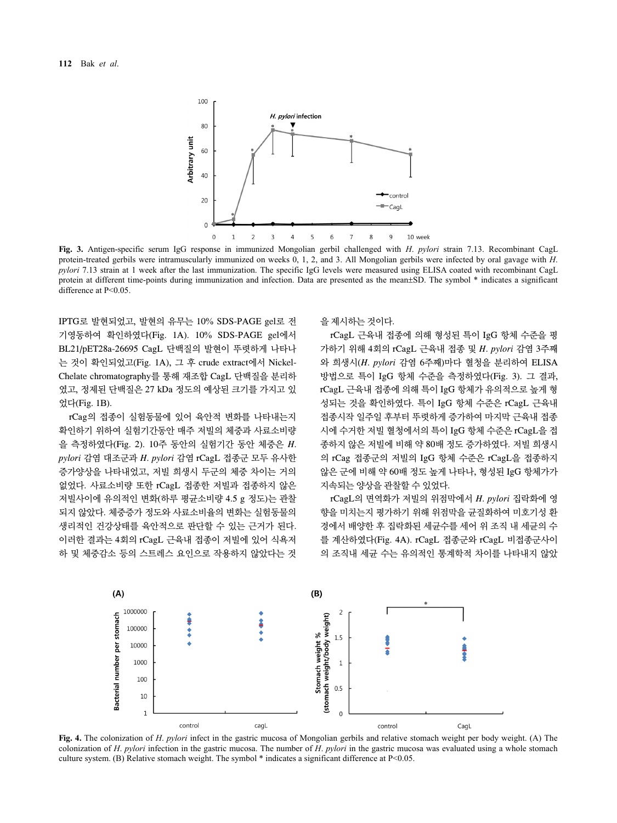

**Fig. 3.** Antigen-specific serum IgG response in immunized Mongolian gerbil challenged with *H*. *pylori* strain 7.13. Recombinant CagL protein-treated gerbils were intramuscularly immunized on weeks 0, 1, 2, and 3. All Mongolian gerbils were infected by oral gavage with *H*. *pylori* 7.13 strain at 1 week after the last immunization. The specific IgG levels were measured using ELISA coated with recombinant CagL protein at different time-points during immunization and infection. Data are presented as the mean±SD. The symbol \* indicates a significant difference at P<0.05.

IPTG로 발현되었고, 발현의 유무는 10% SDS-PAGE gel로 전 기영동하여 확인하였다(Fig. 1A). 10% SDS-PAGE gel에서 BL21/pET28a-26695 CagL 단백질의 발현이 뚜렷하게 나타나 는 것이 확인되었고(Fig. 1A), 그 후 crude extract에서 Nickel-Chelate chromatography를 통해 재조합 CagL 단백질을 분리하 였고, 정제된 단백질은 27 kDa 정도의 예상된 크기를 가지고 있 었다(Fig. 1B).

rCag의 접종이 실험동물에 있어 육안적 변화를 나타내는지 확인하기 위하여 실험기간동안 매주 저빌의 체중과 사료소비량 을 측정하였다(Fig. 2). 10주 동안의 실험기간 동안 체중은 *H*. *pylori* 감염 대조군과 *H*. *pylori* 감염 rCagL 접종군 모두 유사한 증가양상을 나타내었고, 저빌 희생시 두군의 체중 차이는 거의 없었다. 사료소비량 또한 rCagL 접종한 저빌과 접종하지 않은 저빌사이에 유의적인 변화(하루 평균소비량 4.5 g 정도)는 관찰 되지 않았다. 체중증가 정도와 사료소비율의 변화는 실험동물의 생리적인 건강상태를 육안적으로 판단할 수 있는 근거가 된다. 이러한 결과는 4회의 rCagL 근육내 접종이 저빌에 있어 식욕저 하 및 체중감소 등의 스트레스 요인으로 작용하지 않았다는 것

을 제시하는 것이다.

rCagL 근육내 접종에 의해 형성된 특이 IgG 항체 수준을 평 가하기 위해 4회의 rCagL 근육내 접종 및 *H*. *pylori* 감염 3주째 와 희생시(*H*. *pylori* 감염 6주째)마다 혈청을 분리하여 ELISA 방법으로 특이 IgG 항체 수준을 측정하였다(Fig. 3). 그 결과, rCagL 근육내 접종에 의해 특이 IgG 항체가 유의적으로 높게 형 성되는 것을 확인하였다. 특이 IgG 항체 수준은 rCagL 근육내 접종시작 일주일 후부터 뚜렷하게 증가하여 마지막 근육내 접종 시에 수거한 저빌 혈청에서의 특이 IgG 항체 수준은 rCagL을 접 종하지 않은 저빌에 비해 약 80배 정도 증가하였다. 저빌 희생시 의 rCag 접종군의 저빌의 IgG 항체 수준은 rCagL을 접종하지 않은 군에 비해 약 60배 정도 높게 나타나, 형성된 IgG 항체가가 지속되는 양상을 관찰할 수 있었다.

rCagL의 면역화가 저빌의 위점막에서 *H*. *pylori* 집락화에 영 향을 미치는지 평가하기 위해 위점막을 균질화하여 미호기성 환 경에서 배양한 후 집락화된 세균수를 세어 위 조직 내 세균의 수 를 계산하였다(Fig. 4A). rCagL 접종군와 rCagL 비접종군사이 의 조직내 세균 수는 유의적인 통계학적 차이를 나타내지 않았



**Fig. 4.** The colonization of *H*. *pylori* infect in the gastric mucosa of Mongolian gerbils and relative stomach weight per body weight. (A) The colonization of *H*. *pylori* infection in the gastric mucosa. The number of *H*. *pylori* in the gastric mucosa was evaluated using a whole stomach culture system. (B) Relative stomach weight. The symbol  $*$  indicates a significant difference at P<0.05.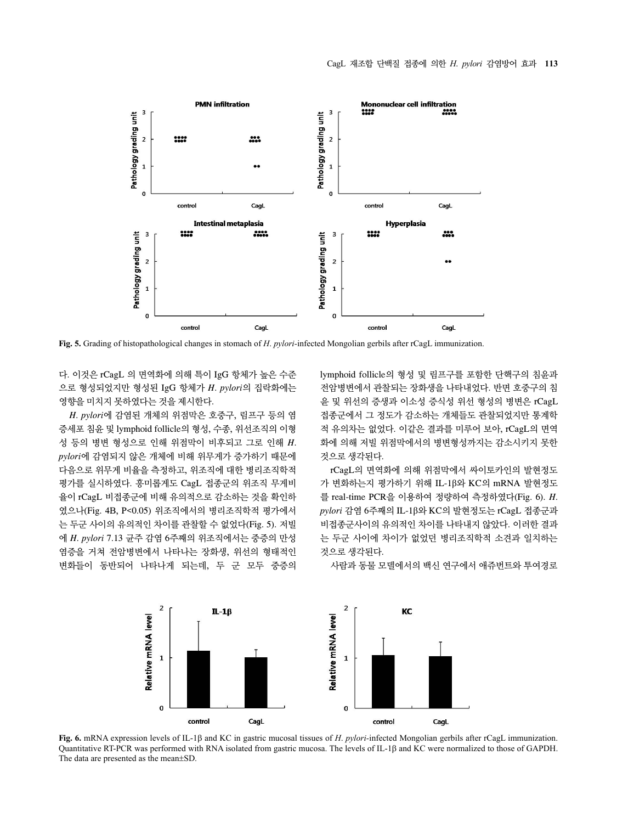

**Fig. 5.** Grading of histopathological changes in stomach of *H*. *pylori-*infected Mongolian gerbils after rCagL immunization.

다. 이것은 rCagL 의 면역화에 의해 특이 IgG 항체가 높은 수준 으로 형성되었지만 형성된 IgG 항체가 *H*. *pylori*의 집락화에는 영향을 미치지 못하였다는 것을 제시한다.

*H*. *pylori*에 감염된 개체의 위점막은 호중구, 림프구 등의 염 증세포 침윤 및 lymphoid follicle의 형성, 수종, 위선조직의 이형 성 등의 병변 형성으로 인해 위점막이 비후되고 그로 인해 *H*. *pylori*에 감염되지 않은 개체에 비해 위무게가 증가하기 때문에 다음으로 위무게 비율을 측정하고, 위조직에 대한 병리조직학적 평가를 실시하였다. 흥미롭게도 CagL 접종군의 위조직 무게비 율이 rCagL 비접종군에 비해 유의적으로 감소하는 것을 확인하 였으나(Fig. 4B, P<0.05) 위조직에서의 병리조직학적 평가에서 는 두군 사이의 유의적인 차이를 관찰할 수 없었다(Fig. 5). 저빌 에 *H*. *pylori* 7.13 균주 감염 6주째의 위조직에서는 중증의 만성 염증을 거쳐 전암병변에서 나타나는 장화생, 위선의 형태적인 변화들이 동반되어 나타나게 되는데, 두 군 모두 중증의

lymphoid follicle의 형성 및 림프구를 포함한 단핵구의 침윤과 전암병변에서 관찰되는 장화생을 나타내었다. 반면 호중구의 침 윤 및 위선의 증생과 이소성 증식성 위선 형성의 병변은 rCagL 접종군에서 그 정도가 감소하는 개체들도 관찰되었지만 통계학 적 유의차는 없었다. 이같은 결과를 미루어 보아, rCagL의 면역 화에 의해 저빌 위점막에서의 병변형성까지는 감소시키지 못한 것으로 생각된다.

rCagL의 면역화에 의해 위점막에서 싸이토카인의 발현정도 가 변화하는지 평가하기 위해 IL-1β와 KC의 mRNA 발현정도 를 real-time PCR을 이용하여 정량하여 측정하였다(Fig. 6). *H*. *pylori* 감염 6주째의 IL-1β와 KC의 발현정도는 rCagL 접종군과 비접종군사이의 유의적인 차이를 나타내지 않았다. 이러한 결과 는 두군 사이에 차이가 없었던 병리조직학적 소견과 일치하는 것으로 생각된다.



사람과 동물 모델에서의 백신 연구에서 애쥬번트와 투여경로

**Fig. 6.** mRNA expression levels of IL-1β and KC in gastric mucosal tissues of *H*. *pylori-*infected Mongolian gerbils after rCagL immunization. Quantitative RT-PCR was performed with RNA isolated from gastric mucosa. The levels of IL-1β and KC were normalized to those of GAPDH. The data are presented as the mean±SD.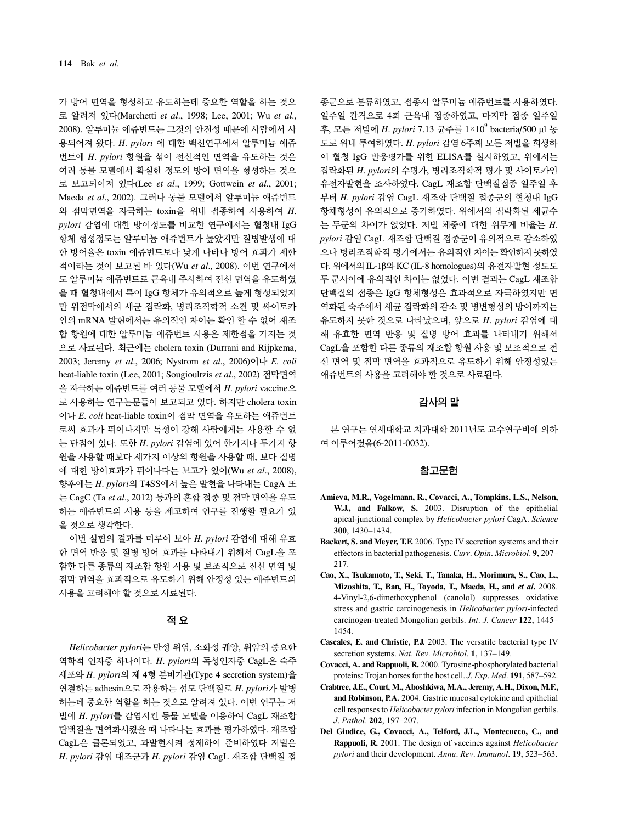가 방어 면역을 형성하고 유도하는데 중요한 역할을 하는 것으 로 알려져 있다(Marchetti *et al*., 1998; Lee, 2001; Wu *et al*., 2008). 알루미늄 애쥬번트는 그것의 안전성 때문에 사람에서 사 용되어져 왔다. *H*. *pylori* 에 대한 백신연구에서 알루미늄 애쥬 번트에 *H*. *pylori* 항원을 섞어 전신적인 면역을 유도하는 것은 여러 동물 모델에서 확실한 정도의 방어 면역을 형성하는 것으 로 보고되어져 있다(Lee *et al*., 1999; Gottwein *et al*., 2001; Maeda *et al*., 2002). 그러나 동물 모델에서 알루미늄 애쥬번트 와 점막면역을 자극하는 toxin을 위내 접종하여 사용하여 *H*. *pylori* 감염에 대한 방어정도를 비교한 연구에서는 혈청내 IgG 항체 형성정도는 알루미늄 애쥬번트가 높았지만 질병발생에 대 한 방어율은 toxin 애쥬번트보다 낮게 나타나 방어 효과가 제한 적이라는 것이 보고된 바 있다(Wu *et al*., 2008). 이번 연구에서 도 알루미늄 애쥬번트로 근육내 주사하여 전신 면역을 유도하였 을 때 혈청내에서 특이 IgG 항체가 유의적으로 높게 형성되었지 만 위점막에서의 세균 집락화, 병리조직학적 소견 및 싸이토카 인의 mRNA 발현에서는 유의적인 차이는 확인 할 수 없어 재조 합 항원에 대한 알루미늄 애쥬번트 사용은 제한점을 가지는 것 으로 사료된다. 최근에는 cholera toxin (Durrani and Rijpkema, 2003; Jeremy *et al*., 2006; Nystrom *et al*., 2006)이나 *E*. *coli* heat-liable toxin (Lee, 2001; Sougioultzis *et al*., 2002) 점막면역 을 자극하는 애쥬번트를 여러 동물 모델에서 *H*. *pylori* vaccine으 로 사용하는 연구논문들이 보고되고 있다. 하지만 cholera toxin 이나 *E*. *coli* heat-liable toxin이 점막 면역을 유도하는 애쥬번트 로써 효과가 뛰어나지만 독성이 강해 사람에게는 사용할 수 없 는 단점이 있다. 또한 *H*. *pylori* 감염에 있어 한가지나 두가지 항 원을 사용할 때보다 세가지 이상의 항원을 사용할 때, 보다 질병 에 대한 방어효과가 뛰어나다는 보고가 있어(Wu *et al*., 2008), 향후에는 *H*. *pylori*의 T4SS에서 높은 발현을 나타내는 CagA 또 는 CagC (Ta *et al*., 2012) 등과의 혼합 접종 및 점막 면역을 유도 하는 애쥬번트의 사용 등을 제고하여 연구를 진행할 필요가 있 을 것으로 생각한다.

이번 실험의 결과를 미루어 보아 *H*. *pylori* 감염에 대해 유효 한 면역 반응 및 질병 방어 효과를 나타내기 위해서 CagL을 포 함한 다른 종류의 재조합 항원 사용 및 보조적으로 전신 면역 및 점막 면역을 효과적으로 유도하기 위해 안정성 있는 애쥬번트의 사용을 고려해야 할 것으로 사료된다.

#### 적 유

*Helicobacter pylori*는 만성 위염, 소화성 궤양, 위암의 중요한 역학적 인자중 하나이다. *H*. *pylori*의 독성인자중 CagL은 숙주 세포와 *H*. *pylori*의 제 4형 분비기관(Type 4 secretion system)을 연결하는 adhesin으로 작용하는 섬모 단백질로 *H*. *pylori*가 발병 하는데 중요한 역할을 하는 것으로 알려져 있다. 이번 연구는 저 빌에 *H*. *pylori*를 감염시킨 동물 모델을 이용하여 CagL 재조합 단백질을 면역화시켰을 때 나타나는 효과를 평가하였다. 재조합 CagL은 클론되었고, 과발현시켜 정제하여 준비하였다 저빌은 *H*. *pylori* 감염 대조군과 *H*. *pylori* 감염 CagL 재조합 단백질 접

종군으로 분류하였고, 접종시 알루미늄 애쥬번트를 사용하였다. 일주일 간격으로 4회 근육내 접종하였고, 마지막 접종 일주일 후, 모든 저빌에 *H*. *pylori* 7.13 균주를 1×109 bacteria/500 μl 농 도로 위내 투여하였다. *H*. *pylori* 감염 6주째 모든 저빌을 희생하 여 혈청 IgG 반응평가를 위한 ELISA를 실시하였고, 위에서는 집락화된 *H*. *pylori*의 수평가, 병리조직학적 평가 및 사이토카인 유전자발현을 조사하였다. CagL 재조합 단백질접종 일주일 후 부터 *H*. *pylori* 감염 CagL 재조합 단백질 접종군의 혈청내 IgG 항체형성이 유의적으로 증가하였다. 위에서의 집락화된 세균수 는 두군의 차이가 없었다. 저빌 체중에 대한 위무게 비율는 *H*. *pylori* 감염 CagL 재조합 단백질 접종군이 유의적으로 감소하였 으나 병리조직학적 평가에서는 유의적인 차이는 확인하지 못하였 다. 위에서의 IL-1β와 KC (IL-8 homologues)의 유전자발현 정도도 두 군사이에 유의적인 차이는 없었다. 이번 결과는 CagL 재조합 단백질의 접종은 IgG 항체형성은 효과적으로 자극하였지만 면 역화된 숙주에서 세균 집락화의 감소 및 병변형성의 방어까지는 유도하지 못한 것으로 나타났으며, 앞으로 *H*. *pylori* 감염에 대 해 유효한 면역 반응 및 질병 방어 효과를 나타내기 위해서 CagL을 포함한 다른 종류의 재조합 항원 사용 및 보조적으로 전 신 면역 및 점막 면역을 효과적으로 유도하기 위해 안정성있는 애쥬번트의 사용을 고려해야 할 것으로 사료된다.

# 감사의 말

본 연구는 연세대학교 치과대학 2011년도 교수연구비에 의하 여 이루어졌음(6-2011-0032).

## 참고문헌

- **Amieva, M.R., Vogelmann, R., Covacci, A., Tompkins, L.S., Nelson, W.J., and Falkow, S.** 2003. Disruption of the epithelial apical-junctional complex by *Helicobacter pylori* CagA. *Science*  **300**, 1430–1434.
- **Backert, S. and Meyer, T.F.** 2006. Type IV secretion systems and their effectors in bacterial pathogenesis. *Curr*. *Opin*. *Microbiol*. **9**, 207– 217.
- **Cao, X., Tsukamoto, T., Seki, T., Tanaka, H., Morimura, S., Cao, L., Mizoshita, T., Ban, H., Toyoda, T., Maeda, H., and** *et al***.** 2008. 4-Vinyl-2,6-dimethoxyphenol (canolol) suppresses oxidative stress and gastric carcinogenesis in *Helicobacter pylori*-infected carcinogen-treated Mongolian gerbils. *Int*. *J*. *Cancer* **122**, 1445– 1454.
- **Cascales, E. and Christie, P.J.** 2003. The versatile bacterial type IV secretion systems. *Nat*. *Rev*. *Microbiol*. **1**, 137–149.
- **Covacci, A. and Rappuoli, R.** 2000. Tyrosine-phosphorylated bacterial proteins: Trojan horses for the host cell. *J*. *Exp*. *Med*. **191**, 587–592.
- **Crabtree, J.E., Court, M., Aboshkiwa, M.A., Jeremy, A.H., Dixon, M.F., and Robinson, P.A.** 2004. Gastric mucosal cytokine and epithelial cell responses to *Helicobacter pylori* infection in Mongolian gerbils. *J*. *Pathol*. **202**, 197–207.
- **Del Giudice, G., Covacci, A., Telford, J.L., Montecucco, C., and Rappuoli, R.** 2001. The design of vaccines against *Helicobacter pylori* and their development. *Annu*. *Rev*. *Immunol*. **19**, 523–563.